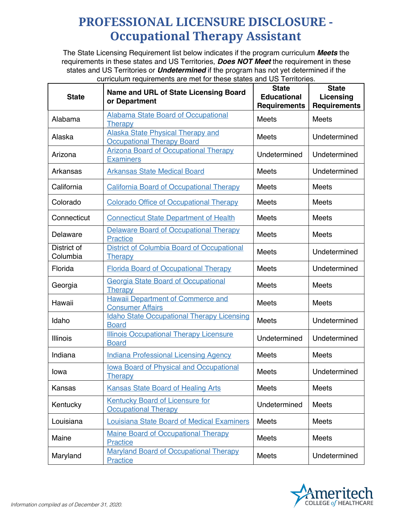## **PROFESSIONAL LICENSURE DISCLOSURE - Occupational Therapy Assistant**

The State Licensing Requirement list below indicates if the program curriculum *Meets* the requirements in these states and US Territories, *Does NOT Meet* the requirement in these states and US Territories or *Undetermined* if the program has not yet determined if the curriculum requirements are met for these states and US Territories.

| <b>State</b>            | <b>Name and URL of State Licensing Board</b><br>or Department                 | <b>State</b><br><b>Educational</b><br><b>Requirements</b> | <b>State</b><br>Licensing<br><b>Requirements</b> |
|-------------------------|-------------------------------------------------------------------------------|-----------------------------------------------------------|--------------------------------------------------|
| Alabama                 | <b>Alabama State Board of Occupational</b><br><b>Therapy</b>                  | <b>Meets</b>                                              | <b>Meets</b>                                     |
| Alaska                  | <b>Alaska State Physical Therapy and</b><br><b>Occupational Therapy Board</b> | <b>Meets</b>                                              | Undetermined                                     |
| Arizona                 | <b>Arizona Board of Occupational Therapy</b><br><b>Examiners</b>              | Undetermined                                              | Undetermined                                     |
| Arkansas                | <b>Arkansas State Medical Board</b>                                           | <b>Meets</b>                                              | Undetermined                                     |
| California              | <b>California Board of Occupational Therapy</b>                               | <b>Meets</b>                                              | <b>Meets</b>                                     |
| Colorado                | <b>Colorado Office of Occupational Therapy</b>                                | <b>Meets</b>                                              | <b>Meets</b>                                     |
| Connecticut             | <b>Connecticut State Department of Health</b>                                 | <b>Meets</b>                                              | <b>Meets</b>                                     |
| Delaware                | <b>Delaware Board of Occupational Therapy</b><br><b>Practice</b>              | <b>Meets</b>                                              | <b>Meets</b>                                     |
| District of<br>Columbia | District of Columbia Board of Occupational<br><b>Therapy</b>                  | <b>Meets</b>                                              | Undetermined                                     |
| Florida                 | <b>Florida Board of Occupational Therapy</b>                                  | <b>Meets</b>                                              | Undetermined                                     |
| Georgia                 | <b>Georgia State Board of Occupational</b><br>Therapy                         | <b>Meets</b>                                              | Meets                                            |
| Hawaii                  | <b>Hawaii Department of Commerce and</b><br><b>Consumer Affairs</b>           | <b>Meets</b>                                              | <b>Meets</b>                                     |
| Idaho                   | <b>Idaho State Occupational Therapy Licensing</b><br><b>Board</b>             | <b>Meets</b>                                              | Undetermined                                     |
| Illinois                | <b>Illinois Occupational Therapy Licensure</b><br><b>Board</b>                | Undetermined                                              | Undetermined                                     |
| Indiana                 | <b>Indiana Professional Licensing Agency</b>                                  | <b>Meets</b>                                              | <b>Meets</b>                                     |
| lowa                    | <b>Iowa Board of Physical and Occupational</b><br>Therapy                     | <b>Meets</b>                                              | Undetermined                                     |
| Kansas                  | <b>Kansas State Board of Healing Arts</b>                                     | <b>Meets</b>                                              | <b>Meets</b>                                     |
| Kentucky                | <b>Kentucky Board of Licensure for</b><br><b>Occupational Therapy</b>         | Undetermined                                              | <b>Meets</b>                                     |
| Louisiana               | <b>Louisiana State Board of Medical Examiners</b>                             | Meets                                                     | Meets                                            |
| Maine                   | <b>Maine Board of Occupational Therapy</b><br><b>Practice</b>                 | <b>Meets</b>                                              | Meets                                            |
| Maryland                | <b>Maryland Board of Occupational Therapy</b><br><b>Practice</b>              | Meets                                                     | Undetermined                                     |

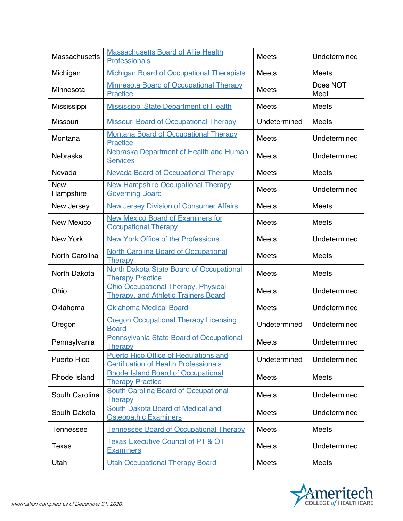| <b>Massachusetts</b>    | <b>Massachusetts Board of Allie Health</b><br>Professionals                                  | <b>Meets</b> | Undetermined     |
|-------------------------|----------------------------------------------------------------------------------------------|--------------|------------------|
| Michigan                | <b>Michigan Board of Occupational Therapists</b>                                             | <b>Meets</b> | <b>Meets</b>     |
| Minnesota               | <b>Minnesota Board of Occupational Therapy</b><br>Practice                                   | <b>Meets</b> | Does NOT<br>Meet |
| Mississippi             | <b>Mississippi State Department of Health</b>                                                | <b>Meets</b> | <b>Meets</b>     |
| Missouri                | <b>Missouri Board of Occupational Therapy</b>                                                | Undetermined | <b>Meets</b>     |
| Montana                 | <b>Montana Board of Occupational Therapy</b><br><b>Practice</b>                              | Meets        | Undetermined     |
| Nebraska                | Nebraska Department of Health and Human<br><b>Services</b>                                   | <b>Meets</b> | Undetermined     |
| Nevada                  | <b>Nevada Board of Occupational Therapy</b>                                                  | <b>Meets</b> | <b>Meets</b>     |
| <b>New</b><br>Hampshire | <b>New Hampshire Occupational Therapy</b><br><b>Governing Board</b>                          | <b>Meets</b> | Undetermined     |
| New Jersey              | <b>New Jersey Division of Consumer Affairs</b>                                               | <b>Meets</b> | <b>Meets</b>     |
| <b>New Mexico</b>       | <b>New Mexico Board of Examiners for</b><br><b>Occupational Therapy</b>                      | <b>Meets</b> | <b>Meets</b>     |
| New York                | <b>New York Office of the Professions</b>                                                    | Meets        | Undetermined     |
| North Carolina          | <b>North Carolina Board of Occupational</b><br>Therapy                                       | <b>Meets</b> | <b>Meets</b>     |
| North Dakota            | <b>North Dakota State Board of Occupational</b><br><b>Therapy Practice</b>                   | <b>Meets</b> | <b>Meets</b>     |
| Ohio                    | <b>Ohio Occupational Therapy, Physical</b><br><b>Therapy, and Athletic Trainers Board</b>    | <b>Meets</b> | Undetermined     |
| Oklahoma                | <b>Oklahoma Medical Board</b>                                                                | <b>Meets</b> | Undetermined     |
| Oregon                  | <b>Oregon Occupational Therapy Licensing</b><br><b>Board</b>                                 | Undetermined | Undetermined     |
| Pennsylvania            | Pennsylvania State Board of Occupational<br><b>Therapy</b>                                   | Meets        | Undetermined     |
| <b>Puerto Rico</b>      | <b>Puerto Rico Office of Requlations and</b><br><b>Certification of Health Professionals</b> | Undetermined | Undetermined     |
| Rhode Island            | <b>Rhode Island Board of Occupational</b><br><b>Therapy Practice</b>                         | Meets        | <b>Meets</b>     |
| South Carolina          | <b>South Carolina Board of Occupational</b><br><b>Therapy</b>                                | Meets        | Undetermined     |
| South Dakota            | South Dakota Board of Medical and<br><b>Osteopathic Examiners</b>                            | <b>Meets</b> | Undetermined     |
| <b>Tennessee</b>        | <b>Tennessee Board of Occupational Therapy</b>                                               | <b>Meets</b> | <b>Meets</b>     |
| <b>Texas</b>            | <b>Texas Executive Council of PT &amp; OT</b><br><b>Examiners</b>                            | <b>Meets</b> | Undetermined     |
| Utah                    | <b>Utah Occupational Therapy Board</b>                                                       | Meets        | Meets            |